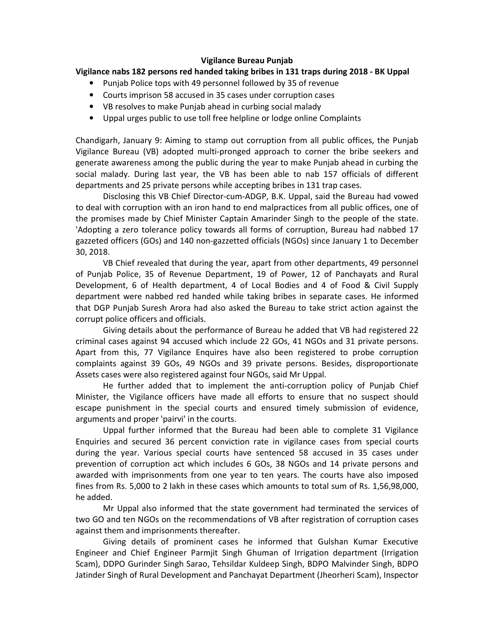## **Vigilance Bureau Punjab**

## **Vigilance nabs 182 persons red handed taking bribes in 131 traps during 2018 - BK Uppal**

- Punjab Police tops with 49 personnel followed by 35 of revenue
- Courts imprison 58 accused in 35 cases under corruption cases
- VB resolves to make Punjab ahead in curbing social malady
- Uppal urges public to use toll free helpline or lodge online Complaints

Chandigarh, January 9: Aiming to stamp out corruption from all public offices, the Punjab Vigilance Bureau (VB) adopted multi-pronged approach to corner the bribe seekers and generate awareness among the public during the year to make Punjab ahead in curbing the social malady. During last year, the VB has been able to nab 157 officials of different departments and 25 private persons while accepting bribes in 131 trap cases.

Disclosing this VB Chief Director-cum-ADGP, B.K. Uppal, said the Bureau had vowed to deal with corruption with an iron hand to end malpractices from all public offices, one of the promises made by Chief Minister Captain Amarinder Singh to the people of the state. 'Adopting a zero tolerance policy towards all forms of corruption, Bureau had nabbed 17 gazzeted officers (GOs) and 140 non-gazzetted officials (NGOs) since January 1 to December 30, 2018.

VB Chief revealed that during the year, apart from other departments, 49 personnel of Punjab Police, 35 of Revenue Department, 19 of Power, 12 of Panchayats and Rural Development, 6 of Health department, 4 of Local Bodies and 4 of Food & Civil Supply department were nabbed red handed while taking bribes in separate cases. He informed that DGP Punjab Suresh Arora had also asked the Bureau to take strict action against the corrupt police officers and officials.

Giving details about the performance of Bureau he added that VB had registered 22 criminal cases against 94 accused which include 22 GOs, 41 NGOs and 31 private persons. Apart from this, 77 Vigilance Enquires have also been registered to probe corruption complaints against 39 GOs, 49 NGOs and 39 private persons. Besides, disproportionate Assets cases were also registered against four NGOs, said Mr Uppal.

He further added that to implement the anti-corruption policy of Punjab Chief Minister, the Vigilance officers have made all efforts to ensure that no suspect should escape punishment in the special courts and ensured timely submission of evidence, arguments and proper 'pairvi' in the courts.

Uppal further informed that the Bureau had been able to complete 31 Vigilance Enquiries and secured 36 percent conviction rate in vigilance cases from special courts during the year. Various special courts have sentenced 58 accused in 35 cases under prevention of corruption act which includes 6 GOs, 38 NGOs and 14 private persons and awarded with imprisonments from one year to ten years. The courts have also imposed fines from Rs. 5,000 to 2 lakh in these cases which amounts to total sum of Rs. 1,56,98,000, he added.

Mr Uppal also informed that the state government had terminated the services of two GO and ten NGOs on the recommendations of VB after registration of corruption cases against them and imprisonments thereafter.

Giving details of prominent cases he informed that Gulshan Kumar Executive Engineer and Chief Engineer Parmjit Singh Ghuman of Irrigation department (Irrigation Scam), DDPO Gurinder Singh Sarao, Tehsildar Kuldeep Singh, BDPO Malvinder Singh, BDPO Jatinder Singh of Rural Development and Panchayat Department (Jheorheri Scam), Inspector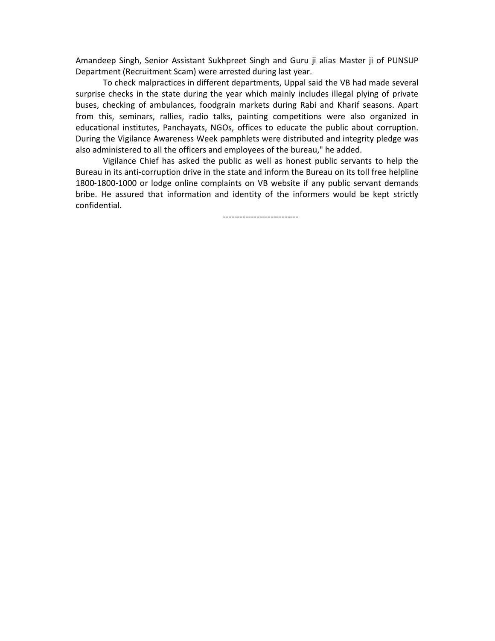Amandeep Singh, Senior Assistant Sukhpreet Singh and Guru ji alias Master ji of PUNSUP Department (Recruitment Scam) were arrested during last year.

To check malpractices in different departments, Uppal said the VB had made several surprise checks in the state during the year which mainly includes illegal plying of private buses, checking of ambulances, foodgrain markets during Rabi and Kharif seasons. Apart from this, seminars, rallies, radio talks, painting competitions were also organized in educational institutes, Panchayats, NGOs, offices to educate the public about corruption. During the Vigilance Awareness Week pamphlets were distributed and integrity pledge was also administered to all the officers and employees of the bureau," he added.

Vigilance Chief has asked the public as well as honest public servants to help the Bureau in its anti-corruption drive in the state and inform the Bureau on its toll free helpline 1800-1800-1000 or lodge online complaints on VB website if any public servant demands bribe. He assured that information and identity of the informers would be kept strictly confidential.

---------------------------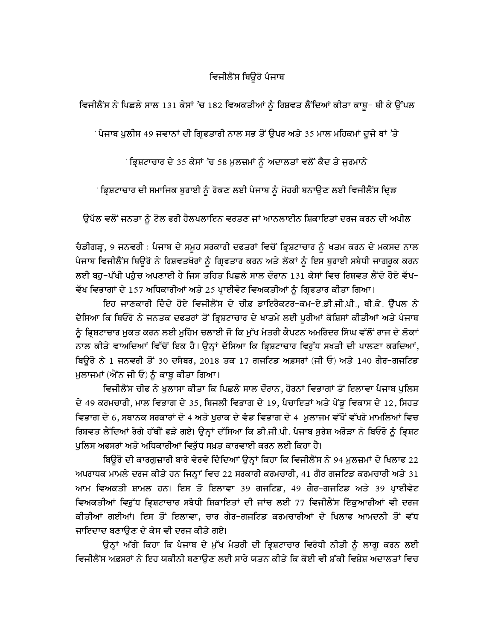## ਵਿਜੀਲੈਂਸ ਬਿਉਰੋ ਪੰਜਾਬ

ਵਿਜੀਲੈਂਸ ਨੇ ਪਿਛਲੇ ਸਾਲ 131 ਕੇਸਾਂ 'ਚ 182 ਵਿਅਕਤੀਆਂ ਨੂੰ ਰਿਸ਼ਵਤ ਲੈਂਦਿਆਂ ਕੀਤਾ ਕਾਬੂ– ਬੀ ਕੇ ਉੱਪਲ

<sup>·</sup> ਪੰਜਾਬ ਪੁਲੀਸ 49 ਜਵਾਨਾਂ ਦੀ ਗ੍ਰਿਫਤਾਰੀ ਨਾਲ ਸਭ ਤੋਂ ਉਪਰ ਅਤੇ 35 ਮਾਲ ਮਹਿਕਮਾਂ ਦੂਜੇ ਥਾਂ 'ਤੇ

ਂਭਿਸ਼ਟਾਚਾਰ ਦੇ 35 ਕੇਸਾਂ 'ਚ 58 ਮਲਜ਼ਮਾਂ ਨੰ ਅਦਾਲਤਾਂ ਵਲੋਂ ਕੈਦ ਤੇ ਜਰਮਾਨੇ

ਂਭ੍ਰਿਸ਼ਟਾਚਾਰ ਦੀ ਸਮਾਜਿਕ ਬੁਰਾਈ ਨੂੰ ਰੋਕਣ ਲਈ ਪੰਜਾਬ ਨੂੰ ਮੋਹਰੀ ਬਨਾਉਣ ਲਈ ਵਿਜੀਲੈਂਸ ਦ੍ਰਿੜ

ਉਪੱਲ ਵਲੋਂ ਜਨਤਾ ਨੂੰ ਟੋਲ ਫਰੀ ਹੈਲਪਲਾਇਨ ਵਰਤਣ ਜਾਂ ਆਨਲਾਈਨ ਸ਼ਿਕਾਇਤਾਂ ਦਰਜ ਕਰਨ ਦੀ ਅਪੀਲ

ਚੈਡੀਗੜ੍ਹ, 9 ਜਨਵਰੀ : ਪੈਜਾਬ ਦੇ ਸਮੂਹ ਸਰਕਾਰੀ ਦਫਤਰਾਂ ਵਿਚੋਂ ਭ੍ਰਿਸ਼ਟਾਚਾਰ ਨੂੰ ਖਤਮ ਕਰਨ ਦੇ ਮਕਸਦ ਨਾਲ ਪੰਜਾਬ ਵਿਜੀਲੈਂਸ ਬਿਊਰੋ ਨੇ ਰਿਸ਼ਵਤਖੋਰਾਂ ਨੂੰ ਗ੍ਰਿਫਤਾਰ ਕਰਨ ਅਤੇ ਲੋਕਾਂ ਨੂੰ ਇਸ ਬੁਰਾਈ ਸਬੰਧੀ ਜਾਗਰੂਕ ਕਰਨ ਲਈ ਬਹ−ਪੱਖੀ ਪਹੈਚ ਅਪਣਾਈ ਹੈ ਜਿਸ ਤਹਿਤ ਪਿਛਲੇ ਸਾਲ ਦੌਰਾਨ 131 ਕੇਸਾਂ ਵਿਚ ਰਿਸ਼ਵਤ ਲੈਂਦੇ ਹੋਏ ਵੱਖ− ਵੱਖ ਵਿਭਾਗਾਂ ਦੇ 157 ਅਧਿਕਾਰੀਆਂ ਅਤੇ 25 ਪਾਈਵੇਟ ਵਿਅਕਤੀਆਂ ਨੂੰ ਗਿਫਤਾਰ ਕੀਤਾ ਗਿਆ।

ਇਹ ਜਾਣਕਾਰੀ ਦਿੰਦੇ ਹੋਏ ਵਿਜੀਲੈਂਸ ਦੇ ਚੀਫ਼ ਡਾਇਰੈਕਟਰ-ਕਮ-ਏ.ਡੀ.ਜੀ.ਪੀ., ਬੀ.ਕੇ. ਉੱਪਲ ਨੇ ਦੱਸਿਆ ਕਿ ਬਿਓਰੋ ਨੇ ਜਨਤਕ ਦਫਤਰਾਂ ਤੋਂ ਭ੍ਰਿਸ਼ਟਾਚਾਰ ਦੇ ਖਾਤਮੇ ਲਈ ਪੁਰੀਆਂ ਕੋਸ਼ਿਸਾਂ ਕੀਤੀਆਂ ਅਤੇ ਪੰਜਾਬ ਨੂੰ ਭ੍ਰਿਸ਼ਟਾਚਾਰ ਮੁਕਤ ਕਰਨ ਲਈ ਮੁਹਿੰਮ ਚਲਾਈ ਜੋ ਕਿ ਮੁੱਖ ਮੰਤਰੀ ਕੈਪਟਨ ਅਮਰਿੰਦਰ ਸਿੰਘ ਵੱਲੋਂ ਰਾਜ ਦੇ ਲੋਕਾਂ ਨਾਲ ਕੀਤੇ ਵਾਅਦਿਆਂ ਵਿੱਚੋਂ ਇਕ ਹੈ। ਉਨ੍ਹਾਂ ਦੱਸਿਆ ਕਿ ਭ੍ਰਿਸ਼ਟਾਚਾਰ ਵਿਰੁੱਧ ਸਖਤੀ ਦੀ ਪਾਲਣਾ ਕਰਦਿਆਂ, ਬਿਊਰੋ ਨੇ 1 ਜਨਵਰੀ ਤੋਂ 30 ਦਸੰਬਰ, 2018 ਤਕ 17 ਗਜਟਿਡ ਅਫ਼ਸਰਾਂ (ਜੀ ਓ) ਅਤੇ 140 ਗੈਰ-ਗਜਟਿਡ ਮੁਲਾਜਮਾਂ (ਐੱਨ ਜੀ ਓ) ਨੂੰ ਕਾਬੁ ਕੀਤਾ ਗਿਆ।

ਵਿਜੀਲੈਂਸ ਚੀਫ ਨੇ ਖੁਲਾਸਾ ਕੀਤਾ ਕਿ ਪਿਛਲੇ ਸਾਲ ਦੌਰਾਨ, ਹੋਰਨਾਂ ਵਿਭਾਗਾਂ ਤੋਂ ਇਲਾਵਾ ਪੰਜਾਬ ਪੁਲਿਸ ਦੇ 49 ਕਰਮਚਾਰੀ, ਮਾਲ ਵਿਭਾਗ ਦੇ 35, ਬਿਜਲੀ ਵਿਭਾਗ ਦੇ 19, ਪੰਚਾਇਤਾਂ ਅਤੇ ਪੇਂਡੂ ਵਿਕਾਸ ਦੇ 12, ਸਿਹਤ ਵਿਭਾਗ ਦੇ 6, ਸਥਾਨਕ ਸਰਕਾਰਾਂ ਦੇ 4 ਅਤੇ ਖੁਰਾਕ ਦੇ ਵੈਡ ਵਿਭਾਗ ਦੇ 4 ਮੁਲਾਜਮ ਵੱਖੋਂ ਵੱਖਰੇ ਮਾਮਲਿਆਂ ਵਿਚ ਰਿਸ਼ਵਤ ਲੈਂਦਿਆਂ ਰੈਗੇ ਹੱਥੀਂ ਫੜੇ ਗਏ। ਉਨ੍ਹਾਂ ਦੱਸਿਆ ਕਿ ਡੀ.ਜੀ.ਪੀ. ਪੈਜਾਬ ਸੁਰੇਸ਼ ਅਰੋੜਾ ਨੇ ਬਿਓਰੋ ਨੂੰ ਭ੍ਰਿਸ਼ਟ ਪੁਲਿਸ ਅਫਸਰਾਂ ਅਤੇ ਅਧਿਕਾਰੀਆਂ ਵਿਰੁੱਧ ਸਖ਼ਤ ਕਾਰਵਾਈ ਕਰਨ ਲਈ ਕਿਹਾ ਹੈ।

ਬਿਊਰੋ ਦੀ ਕਾਰਗੁਜ਼ਾਰੀ ਬਾਰੇ ਵੇਰਵੇ ਦਿੰਦਿਆਂ ਉਨ੍ਹਾਂ ਕਿਹਾ ਕਿ ਵਿਜੀਲੈਂਸ ਨੇ 94 ਮੁਲਜ਼ਮਾਂ ਦੇ ਖਿਲਾਫ 22 ਅਪਰਾਧਕ ਮਾਮਲੇ ਦਰਜ ਕੀਤੇ ਹਨ ਜਿਨ੍ਹਾਂ ਵਿਚ 22 ਸਰਕਾਰੀ ਕਰਮਚਾਰੀ, 41 ਗੈਰ ਗਜਟਿਡ ਕਰਮਚਾਰੀ ਅਤੇ 31 ਆਮ ਵਿਅਕਤੀ ਸ਼ਾਮਲ ਹਨ। ਇਸ ਤੋ ਇਲਾਵਾ 39 ਗਜਟਿਡ, 49 ਗੈਰ-ਗਜਟਿਡ ਅਤੇ 39 ਪ੍ਰਾਈਵੇਟ ਵਿਅਕਤੀਆਂ ਵਿਰੁੱਧ ਭ੍ਰਿਸ਼ਟਾਚਾਰ ਸਬੰਧੀ ਸ਼ਿਕਾਇਤਾਂ ਦੀ ਜਾਂਚ ਲਈ 77 ਵਿਜੀਲੈਂਸ ਇਕੁਆਰੀਆਂ ਵੀ ਦਰਜ ਕੀਤੀਆਂ ਗਈਆਂ। ਇਸ ਤੋਂ ਇਲਾਵਾ, ਚਾਰ ਗੈਰ-ਗਜਟਿਡ ਕਰਮਚਾਰੀਆਂ ਦੇ ਖਿਲਾਫ ਆਮਦਨੀ ਤੋਂ ਵੱਧ ਜਾਇਦਾਦ ਬਣਾੳਣ ਦੇ ਕੇਸ ਵੀ ਦਰਜ ਕੀਤੇ ਗਏ।

ਉਨ੍ਹਾਂ ਅੱਗੇ ਕਿਹਾ ਕਿ ਪੰਜਾਬ ਦੇ ਮੁੱਖ ਮੰਤਰੀ ਦੀ ਭ੍ਰਿਸ਼ਟਾਚਾਰ ਵਿਰੋਧੀ ਨੀਤੀ ਨੂੰ ਲਾਗੂ ਕਰਨ ਲਈ ਵਿਜੀਲੈਂਸ ਅਫ਼ਸਰਾਂ ਨੇ ਇਹ ਯਕੀਨੀ ਬਣਾੳਣ ਲਈ ਸਾਰੇ ਯਤਨ ਕੀਤੇ ਕਿ ਕੋਈ ਵੀ ਸ਼ੱਕੀ ਵਿਸ਼ੇਸ਼ ਅਦਾਲਤਾਂ ਵਿਚ